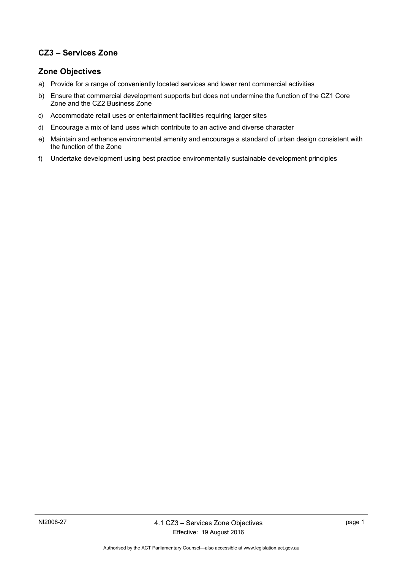## **CZ3 – Services Zone**

## **Zone Objectives**

- a) Provide for a range of conveniently located services and lower rent commercial activities
- b) Ensure that commercial development supports but does not undermine the function of the CZ1 Core Zone and the CZ2 Business Zone
- c) Accommodate retail uses or entertainment facilities requiring larger sites
- d) Encourage a mix of land uses which contribute to an active and diverse character
- e) Maintain and enhance environmental amenity and encourage a standard of urban design consistent with the function of the Zone
- f) Undertake development using best practice environmentally sustainable development principles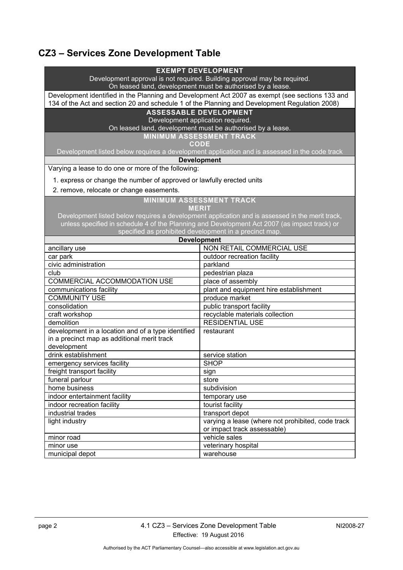## **CZ3 – Services Zone Development Table**

| <b>EXEMPT DEVELOPMENT</b><br>Development approval is not required. Building approval may be required.<br>On leased land, development must be authorised by a lease.                              |                                                                              |  |
|--------------------------------------------------------------------------------------------------------------------------------------------------------------------------------------------------|------------------------------------------------------------------------------|--|
| Development identified in the Planning and Development Act 2007 as exempt (see sections 133 and<br>134 of the Act and section 20 and schedule 1 of the Planning and Development Regulation 2008) |                                                                              |  |
| <b>ASSESSABLE DEVELOPMENT</b>                                                                                                                                                                    |                                                                              |  |
| Development application required.                                                                                                                                                                |                                                                              |  |
| On leased land, development must be authorised by a lease.                                                                                                                                       |                                                                              |  |
| <b>MINIMUM ASSESSMENT TRACK</b><br><b>CODE</b>                                                                                                                                                   |                                                                              |  |
| Development listed below requires a development application and is assessed in the code track                                                                                                    |                                                                              |  |
| <b>Development</b>                                                                                                                                                                               |                                                                              |  |
| Varying a lease to do one or more of the following:                                                                                                                                              |                                                                              |  |
| 1. express or change the number of approved or lawfully erected units                                                                                                                            |                                                                              |  |
| 2. remove, relocate or change easements.                                                                                                                                                         |                                                                              |  |
| <b>MINIMUM ASSESSMENT TRACK</b>                                                                                                                                                                  |                                                                              |  |
| <b>MERIT</b><br>Development listed below requires a development application and is assessed in the merit track,                                                                                  |                                                                              |  |
|                                                                                                                                                                                                  |                                                                              |  |
| unless specified in schedule 4 of the Planning and Development Act 2007 (as impact track) or                                                                                                     |                                                                              |  |
|                                                                                                                                                                                                  | specified as prohibited development in a precinct map.<br><b>Development</b> |  |
| ancillary use                                                                                                                                                                                    | NON RETAIL COMMERCIAL USE                                                    |  |
| car park                                                                                                                                                                                         | outdoor recreation facility                                                  |  |
| civic administration                                                                                                                                                                             | parkland                                                                     |  |
| club                                                                                                                                                                                             | pedestrian plaza                                                             |  |
| COMMERCIAL ACCOMMODATION USE                                                                                                                                                                     | place of assembly                                                            |  |
| communications facility                                                                                                                                                                          | plant and equipment hire establishment                                       |  |
| <b>COMMUNITY USE</b>                                                                                                                                                                             | produce market                                                               |  |
| consolidation                                                                                                                                                                                    | public transport facility                                                    |  |
| craft workshop                                                                                                                                                                                   | recyclable materials collection                                              |  |
| demolition                                                                                                                                                                                       | <b>RESIDENTIAL USE</b>                                                       |  |
| development in a location and of a type identified                                                                                                                                               | restaurant                                                                   |  |
| in a precinct map as additional merit track<br>development                                                                                                                                       |                                                                              |  |
| drink establishment                                                                                                                                                                              | service station                                                              |  |
| emergency services facility                                                                                                                                                                      | <b>SHOP</b>                                                                  |  |
| freight transport facility                                                                                                                                                                       | sign                                                                         |  |
| funeral parlour                                                                                                                                                                                  | store                                                                        |  |
| home business                                                                                                                                                                                    | subdivision                                                                  |  |
| indoor entertainment facility                                                                                                                                                                    | temporary use                                                                |  |
| indoor recreation facility                                                                                                                                                                       | tourist facility                                                             |  |
| industrial trades                                                                                                                                                                                | transport depot                                                              |  |
| light industry                                                                                                                                                                                   | varying a lease (where not prohibited, code track                            |  |
|                                                                                                                                                                                                  | or impact track assessable)                                                  |  |
| minor road                                                                                                                                                                                       | vehicle sales                                                                |  |
| minor use                                                                                                                                                                                        | veterinary hospital                                                          |  |
| municipal depot                                                                                                                                                                                  | warehouse                                                                    |  |